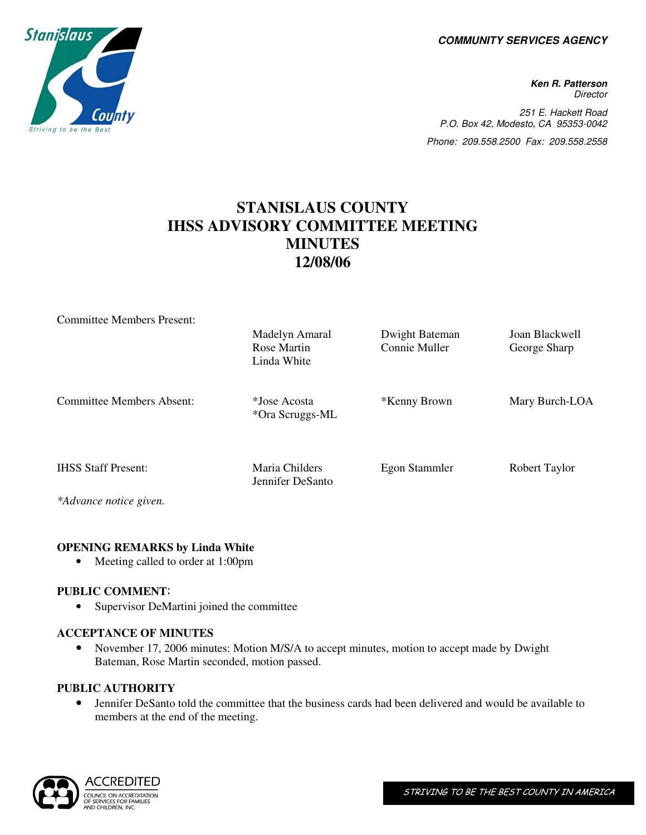**COMMUNITY SERVICES AGENCY** 

**Ken R. Patterson Director** 251 E. Hackett Road P.O. Box 42, Modesto, CA 95353-0042 Phone: 209.558.2500 Fax: 209.558.2558

# **STANISLAUS COUNTY IHSS ADVISORY COMMITTEE MEETING MINUTES 12/08/06**

| <b>Committee Members Present:</b>                                                                                                                |                                    |                |                |
|--------------------------------------------------------------------------------------------------------------------------------------------------|------------------------------------|----------------|----------------|
|                                                                                                                                                  | Madelyn Amaral                     | Dwight Bateman | Joan Blackwell |
|                                                                                                                                                  | Rose Martin<br>Linda White         | Connie Muller  | George Sharp   |
| <b>Committee Members Absent:</b>                                                                                                                 | *Jose Acosta<br>*Ora Scruggs-ML    | *Kenny Brown   | Mary Burch-LOA |
| <b>IHSS Staff Present:</b>                                                                                                                       | Maria Childers<br>Jennifer DeSanto | Egon Stammler  | Robert Taylor  |
| $\mathbf{A}$ and $\mathbf{A}$<br>the contract of the contract of the contract of the contract of the contract of the contract of the contract of |                                    |                |                |

*\*Advance notice given.* 

#### **OPENING REMARKS by Linda White**

• Meeting called to order at 1:00pm

# **PUBLIC COMMENT**:

• Supervisor DeMartini joined the committee

#### **ACCEPTANCE OF MINUTES**

• November 17, 2006 minutes: Motion M/S/A to accept minutes, motion to accept made by Dwight Bateman, Rose Martin seconded, motion passed.

#### **PUBLIC AUTHORITY**

• Jennifer DeSanto told the committee that the business cards had been delivered and would be available to members at the end of the meeting.